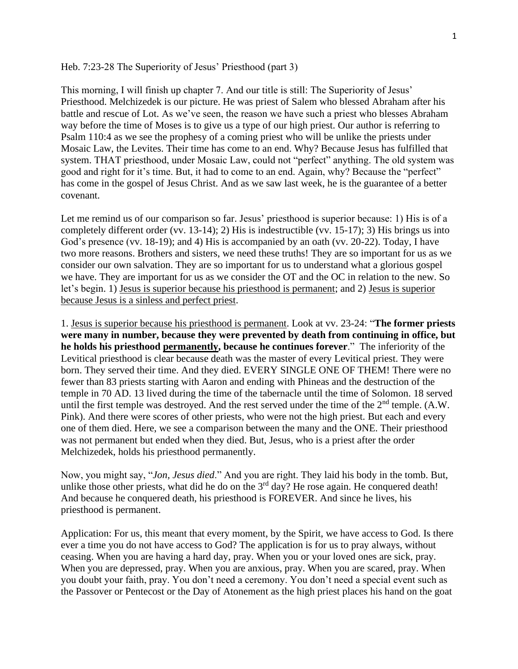Heb. 7:23-28 The Superiority of Jesus' Priesthood (part 3)

This morning, I will finish up chapter 7. And our title is still: The Superiority of Jesus' Priesthood. Melchizedek is our picture. He was priest of Salem who blessed Abraham after his battle and rescue of Lot. As we've seen, the reason we have such a priest who blesses Abraham way before the time of Moses is to give us a type of our high priest. Our author is referring to Psalm 110:4 as we see the prophesy of a coming priest who will be unlike the priests under Mosaic Law, the Levites. Their time has come to an end. Why? Because Jesus has fulfilled that system. THAT priesthood, under Mosaic Law, could not "perfect" anything. The old system was good and right for it's time. But, it had to come to an end. Again, why? Because the "perfect" has come in the gospel of Jesus Christ. And as we saw last week, he is the guarantee of a better covenant.

Let me remind us of our comparison so far. Jesus' priesthood is superior because: 1) His is of a completely different order (vv. 13-14); 2) His is indestructible (vv. 15-17); 3) His brings us into God's presence (vv. 18-19); and 4) His is accompanied by an oath (vv. 20-22). Today, I have two more reasons. Brothers and sisters, we need these truths! They are so important for us as we consider our own salvation. They are so important for us to understand what a glorious gospel we have. They are important for us as we consider the OT and the OC in relation to the new. So let's begin. 1) Jesus is superior because his priesthood is permanent; and 2) Jesus is superior because Jesus is a sinless and perfect priest.

1. Jesus is superior because his priesthood is permanent. Look at vv. 23-24: "**The former priests were many in number, because they were prevented by death from continuing in office, but he holds his priesthood permanently, because he continues forever**." The inferiority of the Levitical priesthood is clear because death was the master of every Levitical priest. They were born. They served their time. And they died. EVERY SINGLE ONE OF THEM! There were no fewer than 83 priests starting with Aaron and ending with Phineas and the destruction of the temple in 70 AD. 13 lived during the time of the tabernacle until the time of Solomon. 18 served until the first temple was destroyed. And the rest served under the time of the  $2<sup>nd</sup>$  temple. (A.W. Pink). And there were scores of other priests, who were not the high priest. But each and every one of them died. Here, we see a comparison between the many and the ONE. Their priesthood was not permanent but ended when they died. But, Jesus, who is a priest after the order Melchizedek, holds his priesthood permanently.

Now, you might say, "*Jon, Jesus died*." And you are right. They laid his body in the tomb. But, unlike those other priests, what did he do on the  $3<sup>rd</sup>$  day? He rose again. He conquered death! And because he conquered death, his priesthood is FOREVER. And since he lives, his priesthood is permanent.

Application: For us, this meant that every moment, by the Spirit, we have access to God. Is there ever a time you do not have access to God? The application is for us to pray always, without ceasing. When you are having a hard day, pray. When you or your loved ones are sick, pray. When you are depressed, pray. When you are anxious, pray. When you are scared, pray. When you doubt your faith, pray. You don't need a ceremony. You don't need a special event such as the Passover or Pentecost or the Day of Atonement as the high priest places his hand on the goat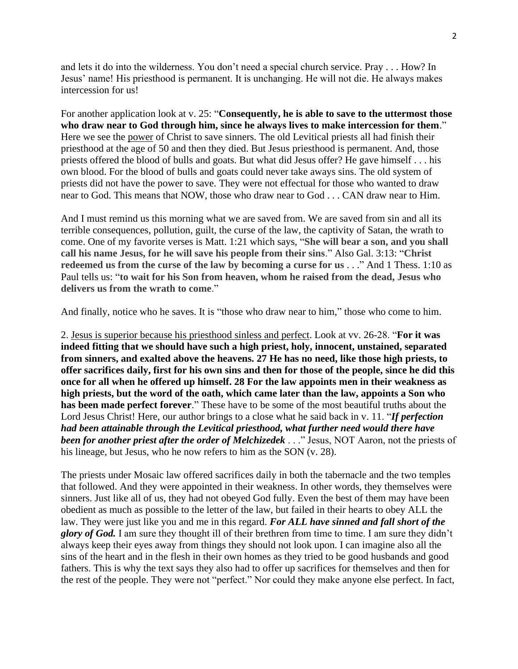and lets it do into the wilderness. You don't need a special church service. Pray . . . How? In Jesus' name! His priesthood is permanent. It is unchanging. He will not die. He always makes intercession for us!

For another application look at v. 25: "**Consequently, he is able to save to the uttermost those who draw near to God through him, since he always lives to make intercession for them**." Here we see the power of Christ to save sinners. The old Levitical priests all had finish their priesthood at the age of 50 and then they died. But Jesus priesthood is permanent. And, those priests offered the blood of bulls and goats. But what did Jesus offer? He gave himself . . . his own blood. For the blood of bulls and goats could never take aways sins. The old system of priests did not have the power to save. They were not effectual for those who wanted to draw near to God. This means that NOW, those who draw near to God . . . CAN draw near to Him.

And I must remind us this morning what we are saved from. We are saved from sin and all its terrible consequences, pollution, guilt, the curse of the law, the captivity of Satan, the wrath to come. One of my favorite verses is Matt. 1:21 which says, "**She will bear a son, and you shall call his name Jesus, for he will save his people from their sins**." Also Gal. 3:13: "**Christ redeemed us from the curse of the law by becoming a curse for us** . . ." And 1 Thess. 1:10 as Paul tells us: "**to wait for his Son from heaven, whom he raised from the dead, Jesus who delivers us from the wrath to come**."

And finally, notice who he saves. It is "those who draw near to him," those who come to him.

2. Jesus is superior because his priesthood sinless and perfect. Look at vv. 26-28. "**For it was indeed fitting that we should have such a high priest, holy, innocent, unstained, separated from sinners, and exalted above the heavens. 27 He has no need, like those high priests, to offer sacrifices daily, first for his own sins and then for those of the people, since he did this once for all when he offered up himself. 28 For the law appoints men in their weakness as high priests, but the word of the oath, which came later than the law, appoints a Son who has been made perfect forever**." These have to be some of the most beautiful truths about the Lord Jesus Christ! Here, our author brings to a close what he said back in v. 11. "*If perfection had been attainable through the Levitical priesthood, what further need would there have been for another priest after the order of Melchizedek* . . ." Jesus, NOT Aaron, not the priests of his lineage, but Jesus, who he now refers to him as the SON (v. 28).

The priests under Mosaic law offered sacrifices daily in both the tabernacle and the two temples that followed. And they were appointed in their weakness. In other words, they themselves were sinners. Just like all of us, they had not obeyed God fully. Even the best of them may have been obedient as much as possible to the letter of the law, but failed in their hearts to obey ALL the law. They were just like you and me in this regard. *For ALL have sinned and fall short of the glory of God.* I am sure they thought ill of their brethren from time to time. I am sure they didn't always keep their eyes away from things they should not look upon. I can imagine also all the sins of the heart and in the flesh in their own homes as they tried to be good husbands and good fathers. This is why the text says they also had to offer up sacrifices for themselves and then for the rest of the people. They were not "perfect." Nor could they make anyone else perfect. In fact,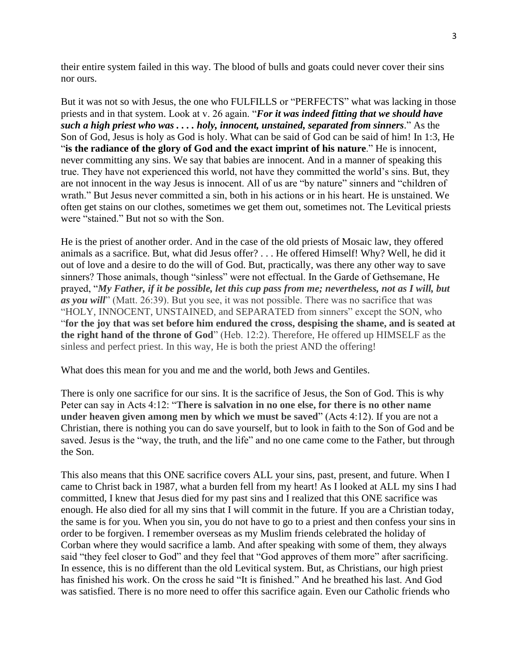their entire system failed in this way. The blood of bulls and goats could never cover their sins nor ours.

But it was not so with Jesus, the one who FULFILLS or "PERFECTS" what was lacking in those priests and in that system. Look at v. 26 again. "*For it was indeed fitting that we should have such a high priest who was . . . . holy, innocent, unstained, separated from sinners*." As the Son of God, Jesus is holy as God is holy. What can be said of God can be said of him! In 1:3, He "**is the radiance of the glory of God and the exact imprint of his nature**." He is innocent, never committing any sins. We say that babies are innocent. And in a manner of speaking this true. They have not experienced this world, not have they committed the world's sins. But, they are not innocent in the way Jesus is innocent. All of us are "by nature" sinners and "children of wrath." But Jesus never committed a sin, both in his actions or in his heart. He is unstained. We often get stains on our clothes, sometimes we get them out, sometimes not. The Levitical priests were "stained." But not so with the Son.

He is the priest of another order. And in the case of the old priests of Mosaic law, they offered animals as a sacrifice. But, what did Jesus offer? . . . He offered Himself! Why? Well, he did it out of love and a desire to do the will of God. But, practically, was there any other way to save sinners? Those animals, though "sinless" were not effectual. In the Garde of Gethsemane, He prayed, "*My Father, if it be possible, let this cup pass from me; nevertheless, not as I will, but as you will*" (Matt. 26:39). But you see, it was not possible. There was no sacrifice that was "HOLY, INNOCENT, UNSTAINED, and SEPARATED from sinners" except the SON, who "**for the joy that was set before him endured the cross, despising the shame, and is seated at the right hand of the throne of God**" (Heb. 12:2). Therefore, He offered up HIMSELF as the sinless and perfect priest. In this way, He is both the priest AND the offering!

What does this mean for you and me and the world, both Jews and Gentiles.

There is only one sacrifice for our sins. It is the sacrifice of Jesus, the Son of God. This is why Peter can say in Acts 4:12: "**There is salvation in no one else, for there is no other name under heaven given among men by which we must be saved**" (Acts 4:12). If you are not a Christian, there is nothing you can do save yourself, but to look in faith to the Son of God and be saved. Jesus is the "way, the truth, and the life" and no one came come to the Father, but through the Son.

This also means that this ONE sacrifice covers ALL your sins, past, present, and future. When I came to Christ back in 1987, what a burden fell from my heart! As I looked at ALL my sins I had committed, I knew that Jesus died for my past sins and I realized that this ONE sacrifice was enough. He also died for all my sins that I will commit in the future. If you are a Christian today, the same is for you. When you sin, you do not have to go to a priest and then confess your sins in order to be forgiven. I remember overseas as my Muslim friends celebrated the holiday of Corban where they would sacrifice a lamb. And after speaking with some of them, they always said "they feel closer to God" and they feel that "God approves of them more" after sacrificing. In essence, this is no different than the old Levitical system. But, as Christians, our high priest has finished his work. On the cross he said "It is finished." And he breathed his last. And God was satisfied. There is no more need to offer this sacrifice again. Even our Catholic friends who